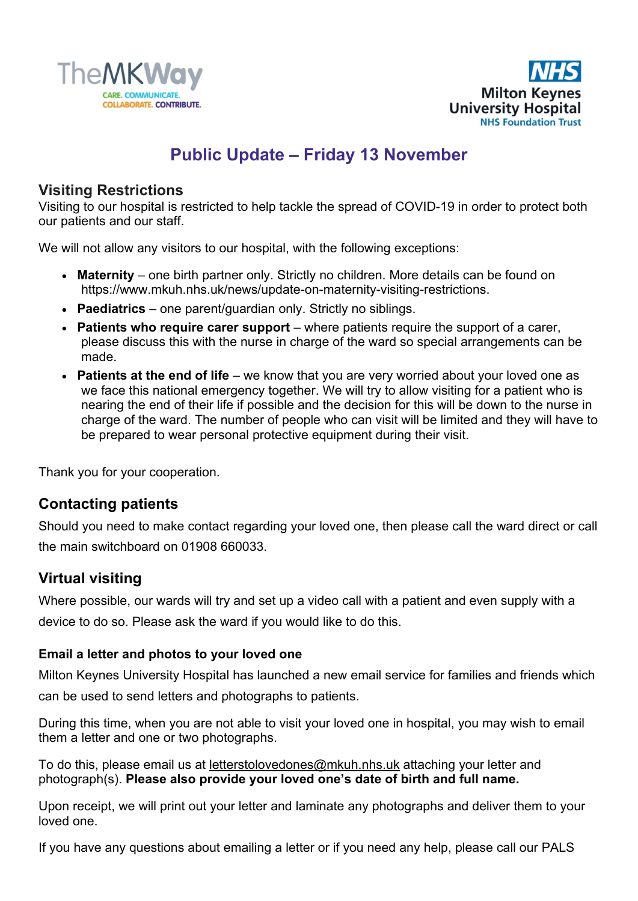



# **Public Update – Friday 13 November**

## **Visiting Restrictions**

Visiting to our hospital is restricted to help tackle the spread of COVID-19 in order to protect both our patients and our staff.

We will not allow any visitors to our hospital, with the following exceptions:

- **Maternity** one birth partner only. Strictly no children. More details can be found on https://www.mkuh.nhs.uk/news/update-on-maternity-visiting-restrictions.
- **Paediatrics** one parent/guardian only. Strictly no siblings.
- **Patients who require carer support** where patients require the support of a carer, please discuss this with the nurse in charge of the ward so special arrangements can be made.
- **Patients at the end of life** we know that you are very worried about your loved one as we face this national emergency together. We will try to allow visiting for a patient who is nearing the end of their life if possible and the decision for this will be down to the nurse in charge of the ward. The number of people who can visit will be limited and they will have to be prepared to wear personal protective equipment during their visit.

Thank you for your cooperation.

# **Contacting patients**

Should you need to make contact regarding your loved one, then please call the ward direct or call the main switchboard on 01908 660033.

# **Virtual visiting**

Where possible, our wards will try and set up a video call with a patient and even supply with a device to do so. Please ask the ward if you would like to do this.

## **Email a letter and photos to your loved one**

Milton Keynes University Hospital has launched a new email service for families and friends which can be used to send letters and photographs to patients.

During this time, when you are not able to visit your loved one in hospital, you may wish to email them a letter and one or two photographs.

To do this, please email us at [letterstolovedones@mkuh.nhs.uk](mailto:letterstolovedones@mkuh.nhs.uk) attaching your letter and photograph(s). **Please also provide your loved one's date of birth and full name.**

Upon receipt, we will print out your letter and laminate any photographs and deliver them to your loved one.

If you have any questions about emailing a letter or if you need any help, please call our PALS